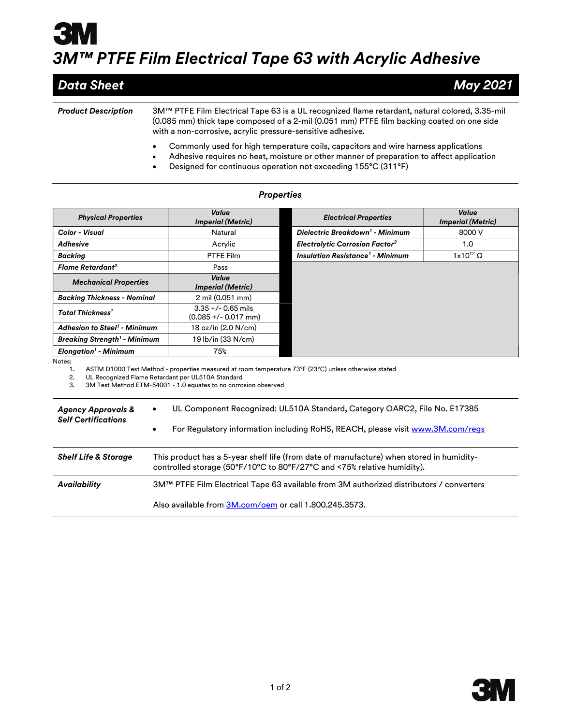## 3M™ PTFE Film Electrical Tape 63 with Acrylic Adhesive

| <b>Data Sheet</b>          | May 2021                                                                                                                                                                                                                                                                                          |
|----------------------------|---------------------------------------------------------------------------------------------------------------------------------------------------------------------------------------------------------------------------------------------------------------------------------------------------|
|                            |                                                                                                                                                                                                                                                                                                   |
| <b>Product Description</b> | 3.35 3.35 3.35 3.35 3.35 3.4 3.35 3.5 3.4 SM™ PTFE Film Electrical Tape 63 is a UL recognized flame retardant, natural colored, 3.35 5<br>(0.085 mm) thick tape composed of a 2-mil (0.051 mm) PTFE film backing coated on one side<br>with a non-corrosive, acrylic pressure-sensitive adhesive. |

- Commonly used for high temperature coils, capacitors and wire harness applications
- Adhesive requires no heat, moisture or other manner of preparation to affect application
- Designed for continuous operation not exceeding 155°C (311°F)

| <b>Physical Properties</b>                                                                                                                                                                                                                               | Value<br><b>Imperial (Metric)</b>                                              | <b>Electrical Properties</b>                       | Value<br><b>Imperial (Metric)</b> |  |
|----------------------------------------------------------------------------------------------------------------------------------------------------------------------------------------------------------------------------------------------------------|--------------------------------------------------------------------------------|----------------------------------------------------|-----------------------------------|--|
| Color - Visual                                                                                                                                                                                                                                           | Natural                                                                        | Dielectric Breakdown <sup>1</sup> - Minimum        | 8000 V                            |  |
| <b>Adhesive</b>                                                                                                                                                                                                                                          | Acrylic                                                                        | <b>Electrolytic Corrosion Factor3</b>              | 1.0                               |  |
| <b>Backing</b>                                                                                                                                                                                                                                           | PTFE Film                                                                      | <b>Insulation Resistance<sup>1</sup> - Minimum</b> | $1x10^{12}$ $\Omega$              |  |
| Flame Retardant <sup>2</sup>                                                                                                                                                                                                                             | Pass                                                                           |                                                    |                                   |  |
| <b>Mechanical Properties</b>                                                                                                                                                                                                                             | Value<br><b>Imperial (Metric)</b>                                              |                                                    |                                   |  |
| <b>Backing Thickness - Nominal</b>                                                                                                                                                                                                                       | 2 mil (0.051 mm)                                                               |                                                    |                                   |  |
| <b>Total Thickness<sup>1</sup></b>                                                                                                                                                                                                                       | $3.35 +/- 0.65$ mils<br>$(0.085 +/- 0.017$ mm)                                 |                                                    |                                   |  |
| <b>Adhesion to Steel<sup>1</sup> - Minimum</b>                                                                                                                                                                                                           | 18 oz/in (2.0 N/cm)                                                            |                                                    |                                   |  |
| <b>Breaking Strength<sup>1</sup> - Minimum</b>                                                                                                                                                                                                           | 19 lb/in (33 N/cm)                                                             |                                                    |                                   |  |
| <b>Elongation<sup>1</sup></b> - Minimum                                                                                                                                                                                                                  | 75%                                                                            |                                                    |                                   |  |
| Notes:<br>ASTM D1000 Test Method - properties measured at room temperature 73°F (23°C) unless otherwise stated<br>1.<br>UL Recognized Flame Retardant per UL510A Standard<br>2.<br>3M Test Method ETM-54001 - 1.0 equates to no corrosion observed<br>3. |                                                                                |                                                    |                                   |  |
| <b>Agency Approvals &amp;</b><br>$\bullet$<br><b>Self Certifications</b>                                                                                                                                                                                 | UL Component Recognized: UL510A Standard, Category OARC2, File No. E17385      |                                                    |                                   |  |
| $\bullet$                                                                                                                                                                                                                                                | For Regulatory information including RoHS, REACH, please visit www.3M.com/regs |                                                    |                                   |  |
| This product has a 5-year shelf life (from date of manufacture) when stored in humidity-<br><b>Shelf Life &amp; Storage</b><br>controlled storage (50°F/10°C to 80°F/27°C and <75% relative humidity).                                                   |                                                                                |                                                    |                                   |  |
| <b>Availability</b><br>3M™ PTFE Film Electrical Tape 63 available from 3M authorized distributors / converters                                                                                                                                           |                                                                                |                                                    |                                   |  |

## **Properties**

Also available from 3M.com/oem or call 1.800.245.3573.